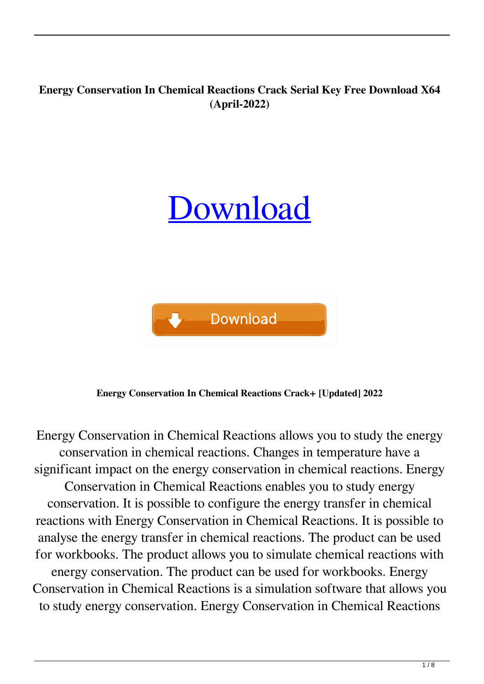## **Energy Conservation In Chemical Reactions Crack Serial Key Free Download X64 (April-2022)**

# [Download](http://evacdir.com/kenin.RW5lcmd5IENvbnNlcnZhdGlvbiBpbiBDaGVtaWNhbCBSZWFjdGlvbnMRW5?ZG93bmxvYWR8UlU2Tm05dmQzeDhNVFkxTkRVeU1qRXhNSHg4TWpVM05IeDhLRTBwSUhKbFlXUXRZbXh2WnlCYlJtRnpkQ0JIUlU1ZA.refunded=hoarding.customization)



**Energy Conservation In Chemical Reactions Crack+ [Updated] 2022**

Energy Conservation in Chemical Reactions allows you to study the energy conservation in chemical reactions. Changes in temperature have a significant impact on the energy conservation in chemical reactions. Energy Conservation in Chemical Reactions enables you to study energy conservation. It is possible to configure the energy transfer in chemical reactions with Energy Conservation in Chemical Reactions. It is possible to analyse the energy transfer in chemical reactions. The product can be used for workbooks. The product allows you to simulate chemical reactions with energy conservation. The product can be used for workbooks. Energy Conservation in Chemical Reactions is a simulation software that allows you to study energy conservation. Energy Conservation in Chemical Reactions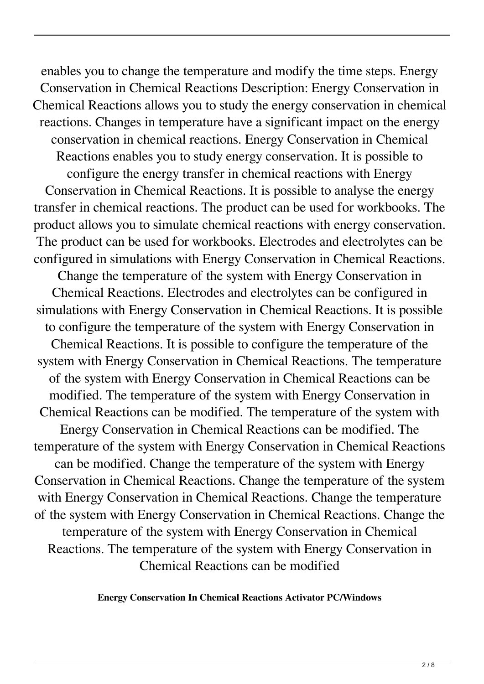enables you to change the temperature and modify the time steps. Energy Conservation in Chemical Reactions Description: Energy Conservation in Chemical Reactions allows you to study the energy conservation in chemical reactions. Changes in temperature have a significant impact on the energy conservation in chemical reactions. Energy Conservation in Chemical Reactions enables you to study energy conservation. It is possible to configure the energy transfer in chemical reactions with Energy Conservation in Chemical Reactions. It is possible to analyse the energy transfer in chemical reactions. The product can be used for workbooks. The product allows you to simulate chemical reactions with energy conservation. The product can be used for workbooks. Electrodes and electrolytes can be configured in simulations with Energy Conservation in Chemical Reactions. Change the temperature of the system with Energy Conservation in Chemical Reactions. Electrodes and electrolytes can be configured in simulations with Energy Conservation in Chemical Reactions. It is possible to configure the temperature of the system with Energy Conservation in Chemical Reactions. It is possible to configure the temperature of the system with Energy Conservation in Chemical Reactions. The temperature of the system with Energy Conservation in Chemical Reactions can be modified. The temperature of the system with Energy Conservation in Chemical Reactions can be modified. The temperature of the system with Energy Conservation in Chemical Reactions can be modified. The temperature of the system with Energy Conservation in Chemical Reactions can be modified. Change the temperature of the system with Energy Conservation in Chemical Reactions. Change the temperature of the system with Energy Conservation in Chemical Reactions. Change the temperature of the system with Energy Conservation in Chemical Reactions. Change the temperature of the system with Energy Conservation in Chemical Reactions. The temperature of the system with Energy Conservation in Chemical Reactions can be modified

**Energy Conservation In Chemical Reactions Activator PC/Windows**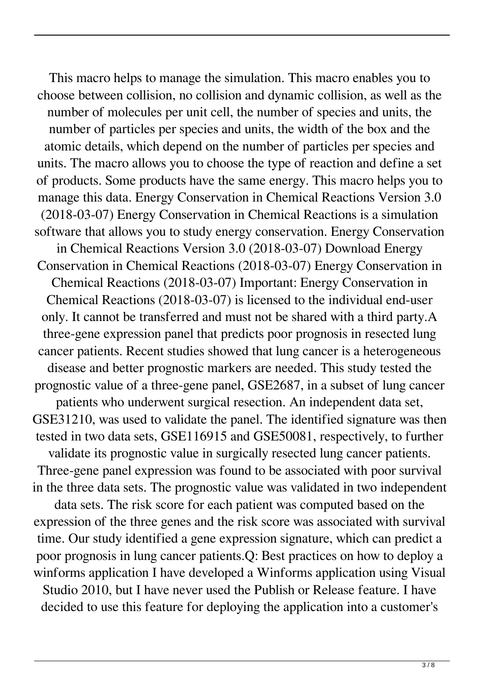This macro helps to manage the simulation. This macro enables you to choose between collision, no collision and dynamic collision, as well as the number of molecules per unit cell, the number of species and units, the number of particles per species and units, the width of the box and the atomic details, which depend on the number of particles per species and units. The macro allows you to choose the type of reaction and define a set of products. Some products have the same energy. This macro helps you to manage this data. Energy Conservation in Chemical Reactions Version 3.0 (2018-03-07) Energy Conservation in Chemical Reactions is a simulation software that allows you to study energy conservation. Energy Conservation in Chemical Reactions Version 3.0 (2018-03-07) Download Energy Conservation in Chemical Reactions (2018-03-07) Energy Conservation in Chemical Reactions (2018-03-07) Important: Energy Conservation in Chemical Reactions (2018-03-07) is licensed to the individual end-user only. It cannot be transferred and must not be shared with a third party.A three-gene expression panel that predicts poor prognosis in resected lung cancer patients. Recent studies showed that lung cancer is a heterogeneous disease and better prognostic markers are needed. This study tested the prognostic value of a three-gene panel, GSE2687, in a subset of lung cancer patients who underwent surgical resection. An independent data set, GSE31210, was used to validate the panel. The identified signature was then tested in two data sets, GSE116915 and GSE50081, respectively, to further validate its prognostic value in surgically resected lung cancer patients. Three-gene panel expression was found to be associated with poor survival in the three data sets. The prognostic value was validated in two independent data sets. The risk score for each patient was computed based on the expression of the three genes and the risk score was associated with survival time. Our study identified a gene expression signature, which can predict a poor prognosis in lung cancer patients.Q: Best practices on how to deploy a winforms application I have developed a Winforms application using Visual Studio 2010, but I have never used the Publish or Release feature. I have decided to use this feature for deploying the application into a customer's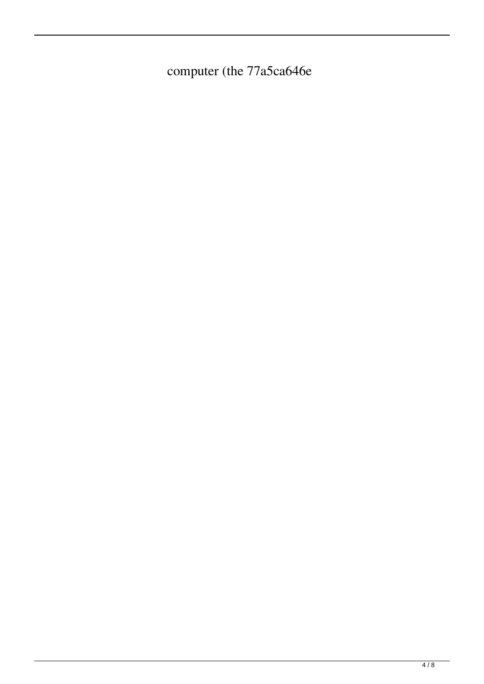computer (the 77a5ca646e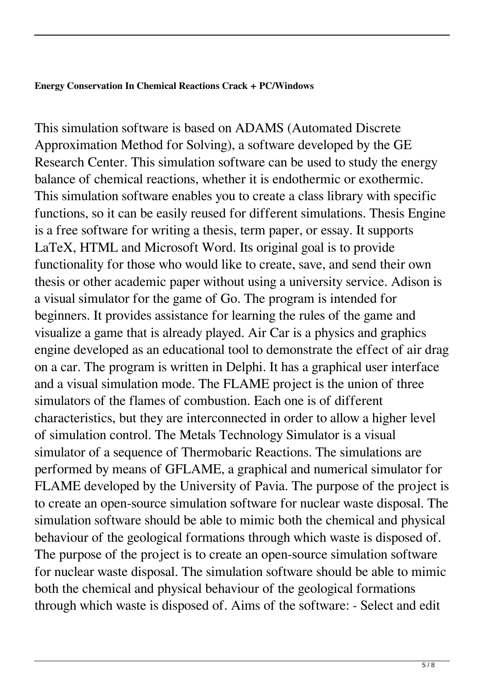#### **Energy Conservation In Chemical Reactions Crack + PC/Windows**

This simulation software is based on ADAMS (Automated Discrete Approximation Method for Solving), a software developed by the GE Research Center. This simulation software can be used to study the energy balance of chemical reactions, whether it is endothermic or exothermic. This simulation software enables you to create a class library with specific functions, so it can be easily reused for different simulations. Thesis Engine is a free software for writing a thesis, term paper, or essay. It supports LaTeX, HTML and Microsoft Word. Its original goal is to provide functionality for those who would like to create, save, and send their own thesis or other academic paper without using a university service. Adison is a visual simulator for the game of Go. The program is intended for beginners. It provides assistance for learning the rules of the game and visualize a game that is already played. Air Car is a physics and graphics engine developed as an educational tool to demonstrate the effect of air drag on a car. The program is written in Delphi. It has a graphical user interface and a visual simulation mode. The FLAME project is the union of three simulators of the flames of combustion. Each one is of different characteristics, but they are interconnected in order to allow a higher level of simulation control. The Metals Technology Simulator is a visual simulator of a sequence of Thermobaric Reactions. The simulations are performed by means of GFLAME, a graphical and numerical simulator for FLAME developed by the University of Pavia. The purpose of the project is to create an open-source simulation software for nuclear waste disposal. The simulation software should be able to mimic both the chemical and physical behaviour of the geological formations through which waste is disposed of. The purpose of the project is to create an open-source simulation software for nuclear waste disposal. The simulation software should be able to mimic both the chemical and physical behaviour of the geological formations through which waste is disposed of. Aims of the software: - Select and edit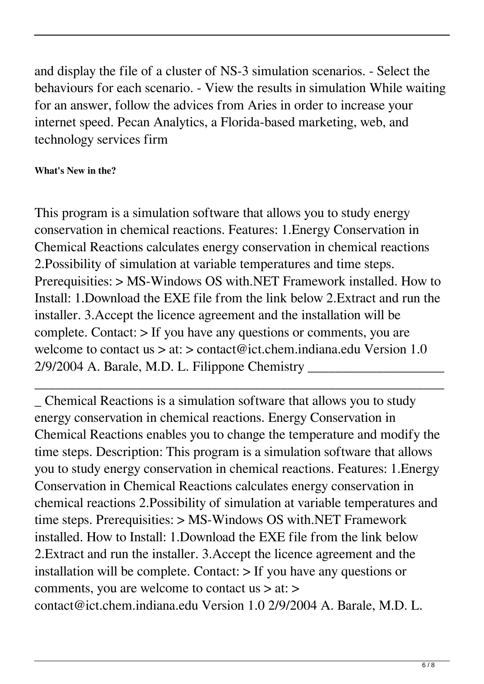and display the file of a cluster of NS-3 simulation scenarios. - Select the behaviours for each scenario. - View the results in simulation While waiting for an answer, follow the advices from Aries in order to increase your internet speed. Pecan Analytics, a Florida-based marketing, web, and technology services firm

## **What's New in the?**

This program is a simulation software that allows you to study energy conservation in chemical reactions. Features: 1.Energy Conservation in Chemical Reactions calculates energy conservation in chemical reactions 2.Possibility of simulation at variable temperatures and time steps. Prerequisities: > MS-Windows OS with.NET Framework installed. How to Install: 1.Download the EXE file from the link below 2.Extract and run the installer. 3.Accept the licence agreement and the installation will be complete. Contact: > If you have any questions or comments, you are welcome to contact us > at: > contact@ict.chem.indiana.edu Version 1.0 2/9/2004 A. Barale, M.D. L. Filippone Chemistry \_\_\_\_\_\_\_\_\_\_\_\_\_\_\_\_\_\_\_\_

\_\_\_\_\_\_\_\_\_\_\_\_\_\_\_\_\_\_\_\_\_\_\_\_\_\_\_\_\_\_\_\_\_\_\_\_\_\_\_\_\_\_\_\_\_\_\_\_\_\_\_\_\_\_\_\_\_\_\_\_

\_ Chemical Reactions is a simulation software that allows you to study energy conservation in chemical reactions. Energy Conservation in Chemical Reactions enables you to change the temperature and modify the time steps. Description: This program is a simulation software that allows you to study energy conservation in chemical reactions. Features: 1.Energy Conservation in Chemical Reactions calculates energy conservation in chemical reactions 2.Possibility of simulation at variable temperatures and time steps. Prerequisities: > MS-Windows OS with.NET Framework installed. How to Install: 1.Download the EXE file from the link below 2.Extract and run the installer. 3.Accept the licence agreement and the installation will be complete. Contact:  $>$  If you have any questions or comments, you are welcome to contact us > at: > contact@ict.chem.indiana.edu Version 1.0 2/9/2004 A. Barale, M.D. L.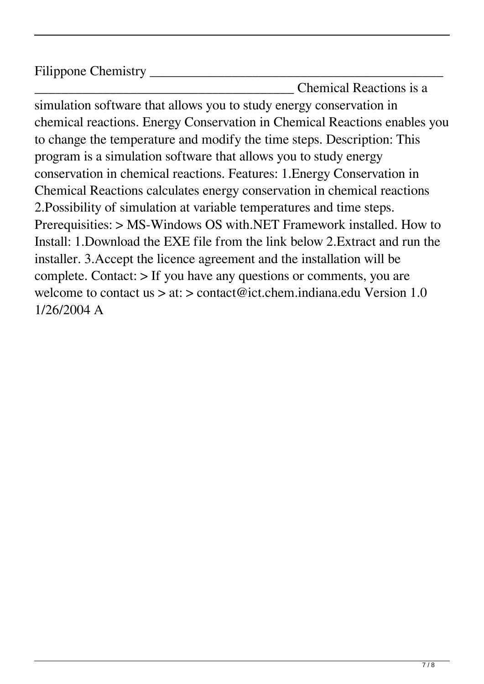Filippone Chemistry

\_\_\_\_\_\_\_\_\_\_\_\_\_\_\_\_\_\_\_\_\_\_\_\_\_\_\_\_\_\_\_\_\_\_\_\_\_\_ Chemical Reactions is a simulation software that allows you to study energy conservation in chemical reactions. Energy Conservation in Chemical Reactions enables you to change the temperature and modify the time steps. Description: This program is a simulation software that allows you to study energy conservation in chemical reactions. Features: 1.Energy Conservation in Chemical Reactions calculates energy conservation in chemical reactions 2.Possibility of simulation at variable temperatures and time steps. Prerequisities: > MS-Windows OS with.NET Framework installed. How to Install: 1.Download the EXE file from the link below 2.Extract and run the installer. 3.Accept the licence agreement and the installation will be complete. Contact: > If you have any questions or comments, you are welcome to contact us > at: > contact@ict.chem.indiana.edu Version 1.0 1/26/2004 A